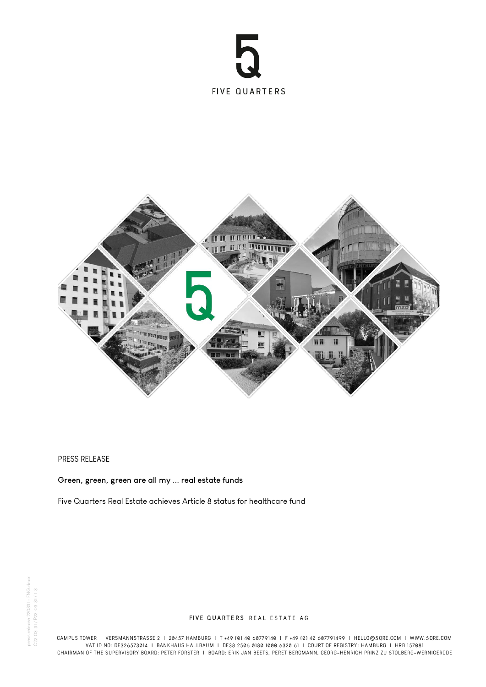



## PRESS RELEASE

## **Green, green, green are all my ... real estate funds**

Five Quarters Real Estate achieves Article 8 status for healthcare fund

## FIVE QUARTERS REAL ESTATE AG

CAMPUS TOWER I VERSMANNSTRASSE 2 I 20457 HAMBURG I T +49 (0) 40 60779140 I F +49 (0) 40 607791499 I HELLO@5QRE.COM I WWW.5QRE.COM VAT ID NO: DE326573014 I BANKHAUS HALLBAUM I DE38 2506 0180 1000 6320 61 I COURT OF REGISTRY : HAMBURG I HRB 157081 CHAIRMAN OF THE SUPERVISORY BOARD: PETER FORSTER I BOARD: ERIK JAN BEETS, PERET BERGMANN, GEORG-HENRICH PRINZ ZU STOLBERG-WERNIGERODE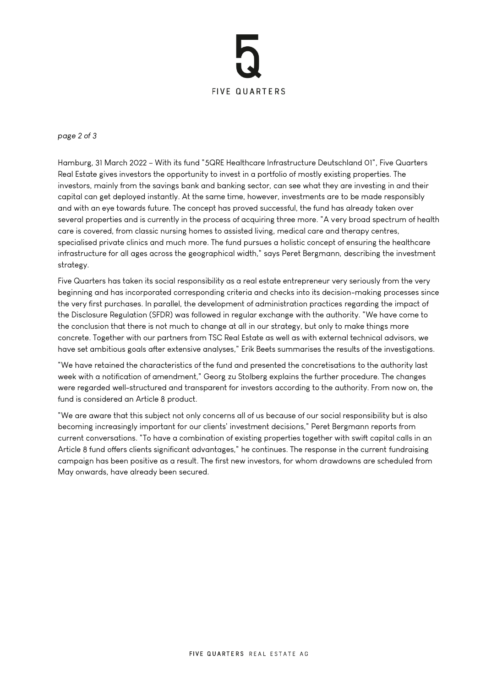

*page 2 of 3*

Hamburg, 31 March 2022 – With its fund "5QRE Healthcare Infrastructure Deutschland 01", Five Quarters Real Estate gives investors the opportunity to invest in a portfolio of mostly existing properties. The investors, mainly from the savings bank and banking sector, can see what they are investing in and their capital can get deployed instantly. At the same time, however, investments are to be made responsibly and with an eye towards future. The concept has proved successful, the fund has already taken over several properties and is currently in the process of acquiring three more. "A very broad spectrum of health care is covered, from classic nursing homes to assisted living, medical care and therapy centres, specialised private clinics and much more. The fund pursues a holistic concept of ensuring the healthcare infrastructure for all ages across the geographical width," says Peret Bergmann, describing the investment strategy.

Five Quarters has taken its social responsibility as a real estate entrepreneur very seriously from the very beginning and has incorporated corresponding criteria and checks into its decision-making processes since the very first purchases. In parallel, the development of administration practices regarding the impact of the Disclosure Regulation (SFDR) was followed in regular exchange with the authority. "We have come to the conclusion that there is not much to change at all in our strategy, but only to make things more concrete. Together with our partners from TSC Real Estate as well as with external technical advisors, we have set ambitious goals after extensive analyses," Erik Beets summarises the results of the investigations.

"We have retained the characteristics of the fund and presented the concretisations to the authority last week with a notification of amendment," Georg zu Stolberg explains the further procedure. The changes were regarded well-structured and transparent for investors according to the authority. From now on, the fund is considered an Article 8 product.

"We are aware that this subject not only concerns all of us because of our social responsibility but is also becoming increasingly important for our clients' investment decisions," Peret Bergmann reports from current conversations. "To have a combination of existing properties together with swift capital calls in an Article 8 fund offers clients significant advantages," he continues. The response in the current fundraising campaign has been positive as a result. The first new investors, for whom drawdowns are scheduled from May onwards, have already been secured.